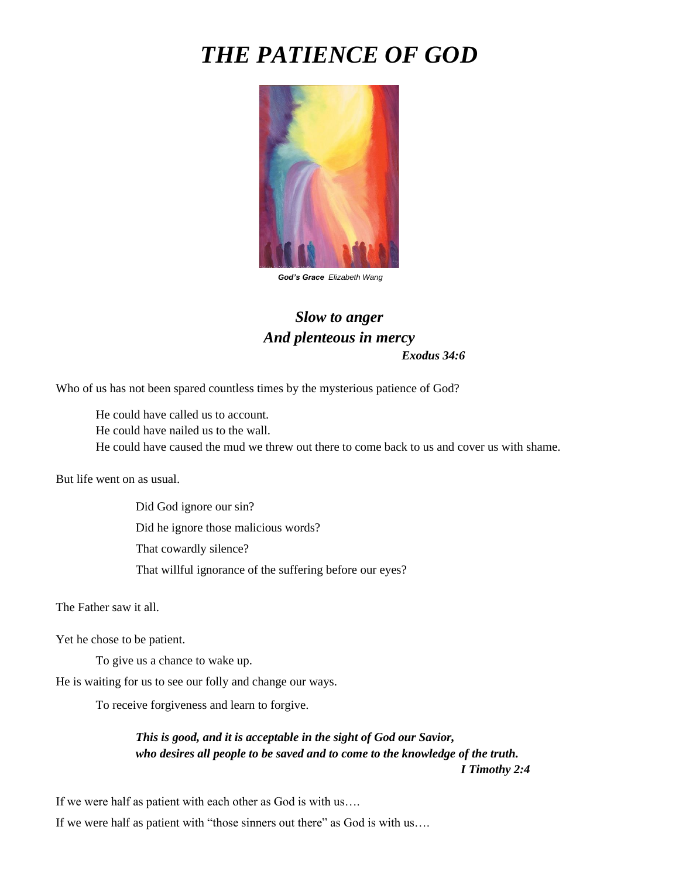# *THE PATIENCE OF GOD*



*God's Grace Elizabeth Wang*

## *Slow to anger And plenteous in mercy Exodus 34:6*

Who of us has not been spared countless times by the mysterious patience of God?

He could have called us to account. He could have nailed us to the wall. He could have caused the mud we threw out there to come back to us and cover us with shame.

But life went on as usual.

Did God ignore our sin? Did he ignore those malicious words? That cowardly silence? That willful ignorance of the suffering before our eyes?

The Father saw it all.

Yet he chose to be patient.

To give us a chance to wake up.

He is waiting for us to see our folly and change our ways.

To receive forgiveness and learn to forgive.

#### *This is good, and it is acceptable in the sight of God our Savior, who desires all people to be saved and to come to the knowledge of the truth. I Timothy 2:4*

If we were half as patient with each other as God is with us….

If we were half as patient with "those sinners out there" as God is with us….